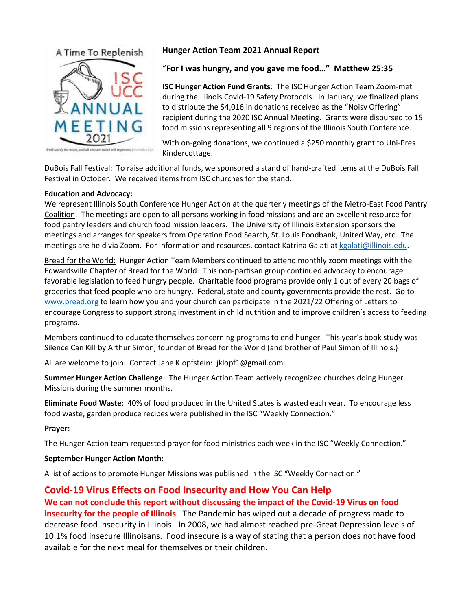

**Hunger Action Team 2021 Annual Report**

### "**For I was hungry, and you gave me food…" Matthew 25:35**

**ISC Hunger Action Fund Grants**: The ISC Hunger Action Team Zoom-met during the Illinois Covid-19 Safety Protocols. In January, we finalized plans to distribute the \$4,016 in donations received as the "Noisy Offering" recipient during the 2020 ISC Annual Meeting. Grants were disbursed to 15 food missions representing all 9 regions of the Illinois South Conference.

With on-going donations, we continued a \$250 monthly grant to Uni-Pres Kindercottage.

DuBois Fall Festival: To raise additional funds, we sponsored a stand of hand-crafted items at the DuBois Fall Festival in October. We received items from ISC churches for the stand.

#### **Education and Advocacy:**

We represent Illinois South Conference Hunger Action at the quarterly meetings of the Metro-East Food Pantry Coalition. The meetings are open to all persons working in food missions and are an excellent resource for food pantry leaders and church food mission leaders. The University of Illinois Extension sponsors the meetings and arranges for speakers from Operation Food Search, St. Louis Foodbank, United Way, etc. The meetings are held via Zoom. For information and resources, contact Katrina Galati a[t kgalati@illinois.edu.](mailto:kgalati@illinois.edu)

Bread for the World: Hunger Action Team Members continued to attend monthly zoom meetings with the Edwardsville Chapter of Bread for the World. This non-partisan group continued advocacy to encourage favorable legislation to feed hungry people. Charitable food programs provide only 1 out of every 20 bags of groceries that feed people who are hungry. Federal, state and county governments provide the rest. Go to [www.bread.org](http://www.bread.org/) to learn how you and your church can participate in the 2021/22 Offering of Letters to encourage Congress to support strong investment in child nutrition and to improve children's access to feeding programs.

Members continued to educate themselves concerning programs to end hunger. This year's book study was Silence Can Kill by Arthur Simon, founder of Bread for the World (and brother of Paul Simon of Illinois.)

All are welcome to join. Contact Jane Klopfstein: jklopf1@gmail.com

**Summer Hunger Action Challenge**: The Hunger Action Team actively recognized churches doing Hunger Missions during the summer months.

**Eliminate Food Waste**: 40% of food produced in the United States is wasted each year. To encourage less food waste, garden produce recipes were published in the ISC "Weekly Connection."

#### **Prayer:**

The Hunger Action team requested prayer for food ministries each week in the ISC "Weekly Connection."

#### **September Hunger Action Month:**

A list of actions to promote Hunger Missions was published in the ISC "Weekly Connection."

## **Covid-19 Virus Effects on Food Insecurity and How You Can Help**

**We can not conclude this report without discussing the impact of the Covid-19 Virus on food insecurity for the people of Illinois**. The Pandemic has wiped out a decade of progress made to decrease food insecurity in Illinois. In 2008, we had almost reached pre-Great Depression levels of 10.1% food insecure Illinoisans. Food insecure is a way of stating that a person does not have food available for the next meal for themselves or their children.